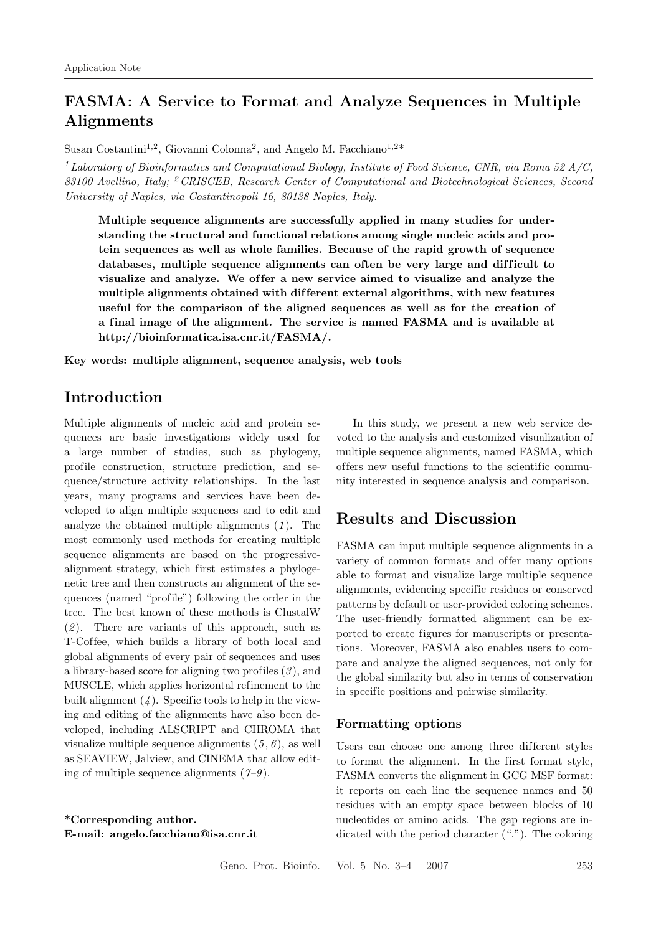# **FASMA: A Service to Format and Analyze Sequences in Multiple Alignments**

Susan Costantini<sup>1,2</sup>, Giovanni Colonna<sup>2</sup>, and Angelo M. Facchiano<sup>1,2\*</sup>

<sup>1</sup>*Laboratory of Bioinformatics and Computational Biology, Institute of Food Science, CNR, via Roma 52 A/C, 83100 Avellino, Italy;* <sup>2</sup>*CRISCEB, Research Center of Computational and Biotechnological Sciences, Second University of Naples, via Costantinopoli 16, 80138 Naples, Italy.*

**Multiple sequence alignments are successfully applied in many studies for understanding the structural and functional relations among single nucleic acids and protein sequences as well as whole families. Because of the rapid growth of sequence** databases, multiple sequence alignments can often be very large and difficult to visualize and analyze. We offer a new service aimed to visualize and analyze the **multiple alignments obtained with dif ferent external algorithms, with new features useful for the comparison of the aligned sequences as well as for the creation of a f inal image of the alignment. The service is named FASMA and is available at http://bioinformatica.isa.cnr.it/FASMA/.**

**Key words: multiple alignment, sequence analysis, web tools**

## **Introduction**

Multiple alignments of nucleic acid and protein sequences are basic investigations widely used for a large number of studies, such as phylogeny, profile construction, structure prediction, and sequence/structure activity relationships. In the last years, many programs and services have been developed to align multiple sequences and to edit and analyze the obtained multiple alignments (*1* ). The most commonly used methods for creating multiple sequence alignments are based on the progressivealignment strategy, which first estimates a phylogenetic tree and then constructs an alignment of the sequences (named "profile") following the order in the tree. The best known of these methods is ClustalW (*2* ). There are variants of this approach, such as T-Coffee, which builds a library of both local and global alignments of every pair of sequences and uses a library-based score for aligning two profiles (*3* ), and MUSCLE, which applies horizontal refinement to the built alignment (*4* ). Specific tools to help in the viewing and editing of the alignments have also been developed, including ALSCRIPT and CHROMA that visualize multiple sequence alignments  $(5, 6)$ , as well as SEAVIEW, Jalview, and CINEMA that allow editing of multiple sequence alignments (*7–9* ).

**\*Corresponding author. E-mail: angelo.facchiano@isa.cnr.it**

In this study, we present a new web service devoted to the analysis and customized visualization of multiple sequence alignments, named FASMA, which of fers new useful functions to the scientific community interested in sequence analysis and comparison.

## **Results and Discussion**

FASMA can input multiple sequence alignments in a variety of common formats and offer many options able to format and visualize large multiple sequence alignments, evidencing specific residues or conserved patterns by default or user-provided coloring schemes. The user-friendly formatted alignment can be exported to create figures for manuscripts or presentations. Moreover, FASMA also enables users to compare and analyze the aligned sequences, not only for the global similarity but also in terms of conservation in specific positions and pairwise similarity.

#### **Formatting options**

Users can choose one among three different styles to format the alignment. In the first format style, FASMA converts the alignment in GCG MSF format: it reports on each line the sequence names and 50 residues with an empty space between blocks of 10 nucleotides or amino acids. The gap regions are indicated with the period character ("."). The coloring

Geno. Prot. Bioinfo. Vol. 5 No. 3–4 2007 253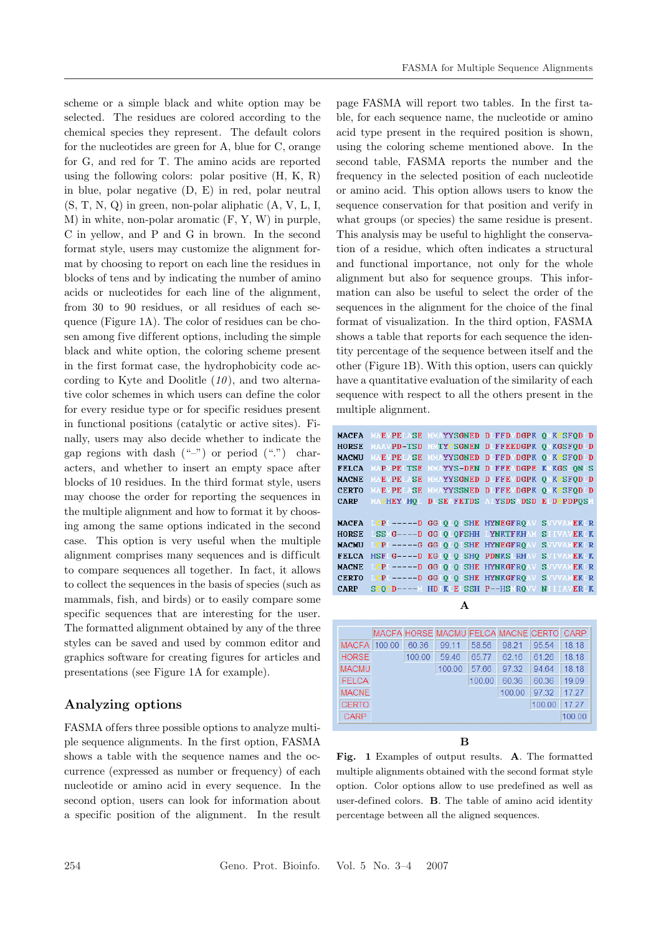scheme or a simple black and white option may be selected. The residues are colored according to the chemical species they represent. The default colors for the nucleotides are green for A, blue for C, orange for G, and red for T. The amino acids are reported using the following colors: polar positive (H, K, R) in blue, polar negative (D, E) in red, polar neutral (S, T, N, Q) in green, non-polar aliphatic (A, V, L, I, M) in white, non-polar aromatic (F, Y, W) in purple, C in yellow, and P and G in brown. In the second format style, users may customize the alignment format by choosing to report on each line the residues in blocks of tens and by indicating the number of amino acids or nucleotides for each line of the alignment, from 30 to 90 residues, or all residues of each sequence (Figure 1A). The color of residues can be chosen among five dif ferent options, including the simple black and white option, the coloring scheme present in the first format case, the hydrophobicity code according to Kyte and Doolitle (*10* ), and two alternative color schemes in which users can define the color for every residue type or for specific residues present in functional positions (catalytic or active sites). Finally, users may also decide whether to indicate the gap regions with dash  $($ "-") or period  $($ ".") characters, and whether to insert an empty space after blocks of 10 residues. In the third format style, users may choose the order for reporting the sequences in the multiple alignment and how to format it by choosing among the same options indicated in the second case. This option is very useful when the multiple alignment comprises many sequences and is difficult to compare sequences all together. In fact, it allows to collect the sequences in the basis of species (such as mammals, fish, and birds) or to easily compare some specific sequences that are interesting for the user. The formatted alignment obtained by any of the three styles can be saved and used by common editor and graphics software for creating figures for articles and presentations (see Figure 1A for example).

### **Analyzing options**

FASMA of fers three possible options to analyze multiple sequence alignments. In the first option, FASMA shows a table with the sequence names and the occurrence (expressed as number or frequency) of each nucleotide or amino acid in every sequence. In the second option, users can look for information about a specific position of the alignment. In the result

page FASMA will report two tables. In the first table, for each sequence name, the nucleotide or amino acid type present in the required position is shown, using the coloring scheme mentioned above. In the second table, FASMA reports the number and the frequency in the selected position of each nucleotide or amino acid. This option allows users to know the sequence conservation for that position and verify in what groups (or species) the same residue is present. This analysis may be useful to highlight the conservation of a residue, which often indicates a structural and functional importance, not only for the whole alignment but also for sequence groups. This information can also be useful to select the order of the sequences in the alignment for the choice of the final format of visualization. In the third option, FASMA shows a table that reports for each sequence the identity percentage of the sequence between itself and the other (Figure 1B). With this option, users can quickly have a quantitative evaluation of the similarity of each sequence with respect to all the others present in the multiple alignment.

|              | MACFA MAEVPELASE MMAYYSGNED DIFFDVDGPK OMKCSFODUD        |                                              |  |
|--------------|----------------------------------------------------------|----------------------------------------------|--|
| <b>HORSE</b> | MAAVPD-TSD MMTYCSGNEN DIFFEEDGPK OMKGSFODID              |                                              |  |
| <b>MACMU</b> | MAEVPELASE MMAYYSGNED DIFFDVDGPK OMKCSFODID              |                                              |  |
| <b>FELCA</b> | MAPVPELTSE MMAYYS-DEN DIFFEADGPE KMKGSLON S              |                                              |  |
| <b>MACNE</b> | MAEVPELASE MMAYYSGNED DIFFEVDGPK OMKCSFODID              |                                              |  |
| <b>CERTO</b> | MAEVPELASE MMAYYSSNED DIFFEVDGPK OMKCSFODID              |                                              |  |
|              | CARP MACHEYVHOL DUSEAFETDS AIYSDSADSD EIDCPDPOSM         |                                              |  |
|              |                                                          |                                              |  |
|              | <b>MACFA LCPL-----D GGIOLOISHE HYNEGFROAV SVVVAMEKLR</b> |                                              |  |
|              | HORSE LSSMG----D GGIOLOFSHH LYNKTFKHAM SIIVAVEKLK        |                                              |  |
| MACMU        | LCPL-----G GGIOLOISHE HYNEGFROAV SVVVAMEKLR              |                                              |  |
| <b>FELCA</b> |                                                          | HSFLG----D EGIOLOISHO PDNKSLRHAV SVIVAMEKLK  |  |
| <b>MACNE</b> |                                                          | LCPL-----D GGIOLOISHE HYNKGFROAV SYVVAMEKLR  |  |
|              | CERTO LCPL-----D GGIOIOISHE HYNKGFROAV SVVVAMEKUR        |                                              |  |
| CARP         |                                                          | SCOCD---- W HDIKLELSSH P--HSMROVV NIIIAVERLK |  |
|              |                                                          |                                              |  |
|              |                                                          |                                              |  |

|              |        |        | MACFA HORSE MACMU FELCA MACNE CERTO |        |        |        | CARP   |
|--------------|--------|--------|-------------------------------------|--------|--------|--------|--------|
| <b>MACFA</b> | 100.00 | 60.36  | 99.11                               | 58.56  | 98.21  | 95.54  | 18.18  |
| <b>HORSE</b> |        | 100.00 | 59.46                               | 6577   | 62.16  | 61 26  | 18.18  |
| <b>MACMU</b> |        |        | 100.00                              | 57.66  | 97.32  | 94.64  | 18.18  |
| <b>FELCA</b> |        |        |                                     | 100.00 | 60.36  | 60.36  | 19.09  |
| <b>MACNE</b> |        |        |                                     |        | 100.00 | 97 32  | 17 27  |
| <b>CERTO</b> |        |        |                                     |        |        | 100.00 | 17.27  |
| <b>CARP</b>  |        |        |                                     |        |        |        | 100.00 |
|              |        |        |                                     |        |        |        |        |

**B**

**Fig. 1** Examples of output results. **A**. The formatted multiple alignments obtained with the second format style option. Color options allow to use predefined as well as user-defined colors. **B**. The table of amino acid identity percentage between all the aligned sequences.